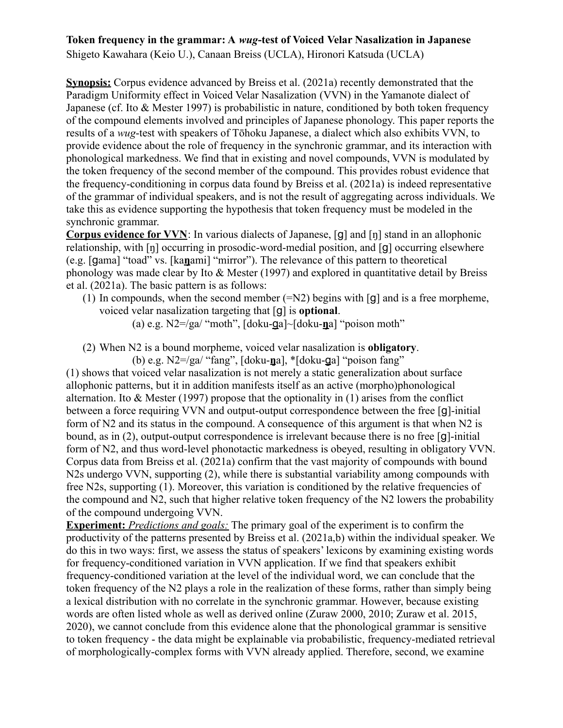## **Token frequency in the grammar: A** *wug***-test of Voiced Velar Nasalization in Japanese**

Shigeto Kawahara (Keio U.), Canaan Breiss (UCLA), Hironori Katsuda (UCLA)

**Synopsis:** Corpus evidence advanced by Breiss et al. (2021a) recently demonstrated that the Paradigm Uniformity effect in Voiced Velar Nasalization (VVN) in the Yamanote dialect of Japanese (cf. Ito & Mester 1997) is probabilistic in nature, conditioned by both token frequency of the compound elements involved and principles of Japanese phonology. This paper reports the results of a *wug*-test with speakers of Tōhoku Japanese, a dialect which also exhibits VVN, to provide evidence about the role of frequency in the synchronic grammar, and its interaction with phonological markedness. We find that in existing and novel compounds, VVN is modulated by the token frequency of the second member of the compound. This provides robust evidence that the frequency-conditioning in corpus data found by Breiss et al. (2021a) is indeed representative of the grammar of individual speakers, and is not the result of aggregating across individuals. We take this as evidence supporting the hypothesis that token frequency must be modeled in the synchronic grammar.

**Corpus evidence for VVN**: In various dialects of Japanese, [g] and [ŋ] stand in an allophonic relationship, with [ŋ] occurring in prosodic-word-medial position, and [g] occurring elsewhere (e.g. [gama] "toad" vs. [ka**ŋ**ami] "mirror"). The relevance of this pattern to theoretical phonology was made clear by Ito  $&$  Mester (1997) and explored in quantitative detail by Breiss et al. (2021a). The basic pattern is as follows:

- (1) In compounds, when the second member  $(=\mathbb{N}2)$  begins with  $[g]$  and is a free morpheme, voiced velar nasalization targeting that [g] is **optional**.
	- (a) e.g. N2=/ga/ "moth", [doku-ga]~[doku-**ŋ**a] "poison moth"
- (2) When N2 is a bound morpheme, voiced velar nasalization is **obligatory**.
	- (b) e.g. N2=/ga/ "fang", [doku-**ŋ**a], \*[doku-ga] "poison fang"

(1) shows that voiced velar nasalization is not merely a static generalization about surface allophonic patterns, but it in addition manifests itself as an active (morpho)phonological alternation. Ito  $&$  Mester (1997) propose that the optionality in (1) arises from the conflict between a force requiring VVN and output-output correspondence between the free [g]-initial form of N2 and its status in the compound. A consequence of this argument is that when N2 is bound, as in (2), output-output correspondence is irrelevant because there is no free [g]-initial form of N2, and thus word-level phonotactic markedness is obeyed, resulting in obligatory VVN. Corpus data from Breiss et al. (2021a) confirm that the vast majority of compounds with bound N2s undergo VVN, supporting (2), while there is substantial variability among compounds with free N2s, supporting (1). Moreover, this variation is conditioned by the relative frequencies of the compound and N2, such that higher relative token frequency of the N2 lowers the probability of the compound undergoing VVN.

**Experiment:** *Predictions and goals:* The primary goal of the experiment is to confirm the productivity of the patterns presented by Breiss et al. (2021a,b) within the individual speaker. We do this in two ways: first, we assess the status of speakers' lexicons by examining existing words for frequency-conditioned variation in VVN application. If we find that speakers exhibit frequency-conditioned variation at the level of the individual word, we can conclude that the token frequency of the N2 plays a role in the realization of these forms, rather than simply being a lexical distribution with no correlate in the synchronic grammar. However, because existing words are often listed whole as well as derived online (Zuraw 2000, 2010; Zuraw et al. 2015, 2020), we cannot conclude from this evidence alone that the phonological grammar is sensitive to token frequency - the data might be explainable via probabilistic, frequency-mediated retrieval of morphologically-complex forms with VVN already applied. Therefore, second, we examine